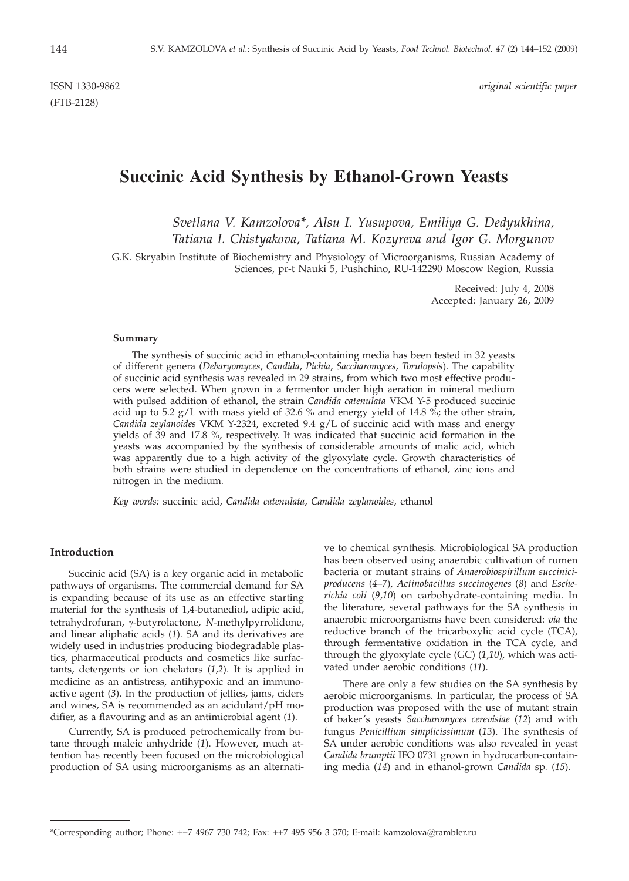(FTB-2128)

ISSN 1330-9862 *original scientific paper*

# **Succinic Acid Synthesis by Ethanol-Grown Yeasts**

## *Svetlana V. Kamzolova\*, Alsu I. Yusupova, Emiliya G. Dedyukhina, Tatiana I. Chistyakova, Tatiana M. Kozyreva and Igor G. Morgunov*

G.K. Skryabin Institute of Biochemistry and Physiology of Microorganisms, Russian Academy of Sciences, pr-t Nauki 5, Pushchino, RU-142290 Moscow Region, Russia

> Received: July 4, 2008 Accepted: January 26, 2009

#### **Summary**

The synthesis of succinic acid in ethanol-containing media has been tested in 32 yeasts of different genera (*Debaryomyces*, *Candida*, *Pichia*, *Saccharomyces*, *Torulopsis*). The capability of succinic acid synthesis was revealed in 29 strains, from which two most effective producers were selected. When grown in a fermentor under high aeration in mineral medium with pulsed addition of ethanol, the strain *Candida catenulata* VKM Y-5 produced succinic acid up to 5.2  $g/L$  with mass yield of 32.6 % and energy yield of 14.8 %; the other strain, *Candida zeylanoides* VKM Y-2324, excreted 9.4 g/L of succinic acid with mass and energy yields of 39 and 17.8 %, respectively. It was indicated that succinic acid formation in the yeasts was accompanied by the synthesis of considerable amounts of malic acid, which was apparently due to a high activity of the glyoxylate cycle. Growth characteristics of both strains were studied in dependence on the concentrations of ethanol, zinc ions and nitrogen in the medium.

*Key words:* succinic acid, *Candida catenulata*, *Candida zeylanoides*, ethanol

#### **Introduction**

Succinic acid (SA) is a key organic acid in metabolic pathways of organisms. The commercial demand for SA is expanding because of its use as an effective starting material for the synthesis of 1,4-butanediol, adipic acid, tetrahydrofuran, g-butyrolactone, *<sup>N</sup>*-methylpyrrolidone, and linear aliphatic acids (*1*). SA and its derivatives are widely used in industries producing biodegradable plastics, pharmaceutical products and cosmetics like surfactants, detergents or ion chelators (*1*,*2*). It is applied in medicine as an antistress, antihypoxic and an immunoactive agent (*3*). In the production of jellies, jams, ciders and wines, SA is recommended as an acidulant/pH modifier, as a flavouring and as an antimicrobial agent (*1*).

Currently, SA is produced petrochemically from butane through maleic anhydride (*1*). However, much attention has recently been focused on the microbiological production of SA using microorganisms as an alternative to chemical synthesis. Microbiological SA production has been observed using anaerobic cultivation of rumen bacteria or mutant strains of *Anaerobiospirillum succiniciproducens* (*4*–*7*)*, Actinobacillus succinogenes* (*8*) and *Escherichia coli* (*9*,*10*) on carbohydrate-containing media. In the literature, several pathways for the SA synthesis in anaerobic microorganisms have been considered: *via* the reductive branch of the tricarboxylic acid cycle (TCA), through fermentative oxidation in the TCA cycle, and through the glyoxylate cycle (GC) (*1*,*10*), which was activated under aerobic conditions (*11*).

There are only a few studies on the SA synthesis by aerobic microorganisms. In particular, the process of SA production was proposed with the use of mutant strain of baker's yeasts *Saccharomyces cerevisiae* (*12*) and with fungus *Penicillium simplicissimum* (*13*). The synthesis of SA under aerobic conditions was also revealed in yeast *Candida brumptii* IFO 0731 grown in hydrocarbon-containing media (*14*) and in ethanol-grown *Candida* sp*.* (*15*).

<sup>\*</sup>Corresponding author; Phone: ++7 4967 730 742; Fax: ++7 495 956 3 370; E-mail: kamzolova@rambler.ru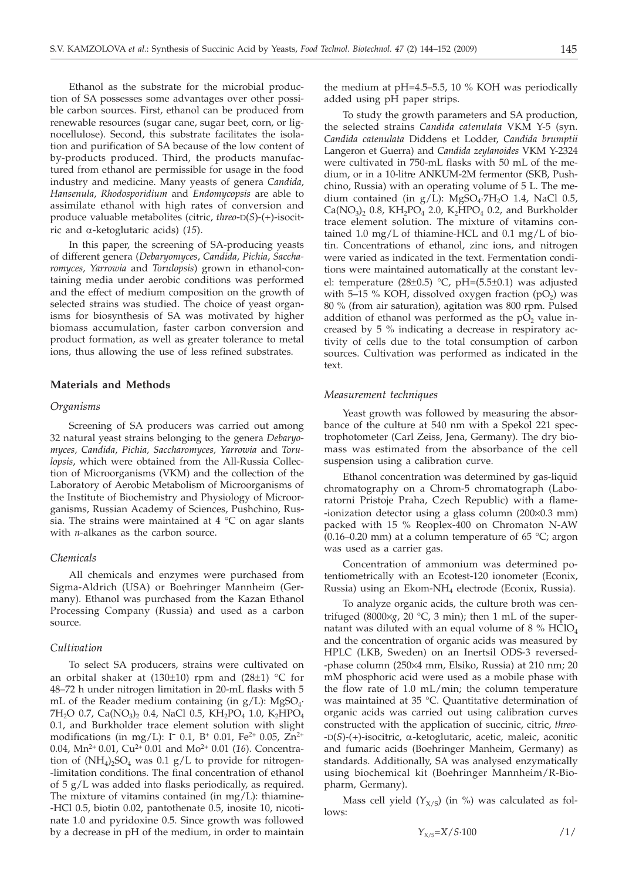Ethanol as the substrate for the microbial production of SA possesses some advantages over other possible carbon sources. First, ethanol can be produced from renewable resources (sugar cane, sugar beet, corn, or lignocellulose). Second, this substrate facilitates the isolation and purification of SA because of the low content of by-products produced. Third, the products manufactured from ethanol are permissible for usage in the food industry and medicine. Many yeasts of genera *Candida*, *Hansenula*, *Rhodosporidium* and *Endomycopsis* are able to assimilate ethanol with high rates of conversion and produce valuable metabolites (citric, *threo*-D(*S*)-(+)-isocitric and a-ketoglutaric acids) (*15*).

In this paper, the screening of SA-producing yeasts of different genera (*Debaryomyces*, *Candida*, *Pichia*, *Saccharomyces, Yarrowia* and *Torulopsis*) grown in ethanol-containing media under aerobic conditions was performed and the effect of medium composition on the growth of selected strains was studied. The choice of yeast organisms for biosynthesis of SA was motivated by higher biomass accumulation, faster carbon conversion and product formation, as well as greater tolerance to metal ions, thus allowing the use of less refined substrates.

## **Materials and Methods**

## *Organisms*

Screening of SA producers was carried out among 32 natural yeast strains belonging to the genera *Debaryomyces, Candida*, *Pichia, Saccharomyces, Yarrowia* and *Torulopsis*, which were obtained from the All-Russia Collection of Microorganisms (VKM) and the collection of the Laboratory of Aerobic Metabolism of Microorganisms of the Institute of Biochemistry and Physiology of Microorganisms, Russian Academy of Sciences, Pushchino, Russia. The strains were maintained at  $4^{\circ}$ C on agar slants with *n*-alkanes as the carbon source.

### *Chemicals*

All chemicals and enzymes were purchased from Sigma-Aldrich (USA) or Boehringer Mannheim (Germany). Ethanol was purchased from the Kazan Ethanol Processing Company (Russia) and used as a carbon source.

## *Cultivation*

To select SA producers, strains were cultivated on an orbital shaker at (130 $\pm$ 10) rpm and (28 $\pm$ 1) °C for 48–72 h under nitrogen limitation in 20-mL flasks with 5 mL of the Reader medium containing (in  $g/L$ ): MgSO<sub>4</sub>. 7H<sub>2</sub>O 0.7, Ca(NO<sub>3</sub>)<sub>2</sub> 0.4, NaCl 0.5, KH<sub>2</sub>PO<sub>4</sub> 1.0, K<sub>2</sub>HPO<sub>4</sub> 0.1, and Burkholder trace element solution with slight modifications (in mg/L):  $I^-$  0.1,  $B^+$  0.01,  $Fe^{2+}$  0.05,  $Zn^{2+}$ 0.04, Mn<sup>2+</sup> 0.01, Cu<sup>2+</sup> 0.01 and Mo<sup>2+</sup> 0.01 (16). Concentration of  $(NH_4)_2SO_4$  was 0.1 g/L to provide for nitrogen--limitation conditions. The final concentration of ethanol of 5 g/L was added into flasks periodically, as required. The mixture of vitamins contained (in  $mg/L$ ): thiamine--HCl 0.5, biotin 0.02, pantothenate 0.5, inosite 10, nicotinate 1.0 and pyridoxine 0.5. Since growth was followed by a decrease in pH of the medium, in order to maintain

the medium at pH=4.5–5.5, 10 % KOH was periodically added using pH paper strips.

To study the growth parameters and SA production, the selected strains *Candida catenulata* VKM Y-5 (syn. *Candida catenulata* Diddens et Lodder, *Candida brumptii* Langeron et Guerra) and *Candida zeylanoides* VKM Y-2324 were cultivated in 750-mL flasks with 50 mL of the medium, or in a 10-litre ANKUM-2M fermentor (SKB, Pushchino, Russia) with an operating volume of 5 L. The medium contained (in  $g/L$ ): MgSO<sub>4</sub>·7H<sub>2</sub>O 1.4, NaCl 0.5,  $Ca(NO_3)_2$  0.8, KH<sub>2</sub>PO<sub>4</sub> 2.0, K<sub>2</sub>HPO<sub>4</sub> 0.2, and Burkholder trace element solution. The mixture of vitamins contained 1.0 mg/L of thiamine-HCL and 0.1 mg/L of biotin. Concentrations of ethanol, zinc ions, and nitrogen were varied as indicated in the text. Fermentation conditions were maintained automatically at the constant level: temperature (28±0.5) °C, pH=(5.5±0.1) was adjusted with 5–15 % KOH, dissolved oxygen fraction  $(pO<sub>2</sub>)$  was 80 % (from air saturation), agitation was 800 rpm. Pulsed addition of ethanol was performed as the  $pO<sub>2</sub>$  value increased by 5 % indicating a decrease in respiratory activity of cells due to the total consumption of carbon sources. Cultivation was performed as indicated in the text.

#### *Measurement techniques*

Yeast growth was followed by measuring the absorbance of the culture at 540 nm with a Spekol 221 spectrophotometer (Carl Zeiss, Jena, Germany). The dry biomass was estimated from the absorbance of the cell suspension using a calibration curve.

Ethanol concentration was determined by gas-liquid chromatography on a Chrom-5 chromatograph (Laboratorni Pristoje Praha, Czech Republic) with a flame- -ionization detector using a glass column (200×0.3 mm) packed with 15 % Reoplex-400 on Chromaton N-AW (0.16–0.20 mm) at a column temperature of 65  $°C$ ; argon was used as a carrier gas.

Concentration of ammonium was determined potentiometrically with an Ecotest-120 ionometer (Econix, Russia) using an Ekom-NH4 electrode (Econix, Russia).

To analyze organic acids, the culture broth was centrifuged (8000×g, 20 °C, 3 min); then 1 mL of the supernatant was diluted with an equal volume of 8  $\%$  HClO<sub>4</sub> and the concentration of organic acids was measured by HPLC (LKB, Sweden) on an Inertsil ODS-3 reversed- -phase column (250×4 mm, Elsiko, Russia) at 210 nm; 20 mM phosphoric acid were used as a mobile phase with the flow rate of 1.0 mL/min; the column temperature was maintained at 35 °C. Quantitative determination of organic acids was carried out using calibration curves constructed with the application of succinic, citric, *threo-* -D(*S*)-(+)-isocitric, a-ketoglutaric, acetic, maleic, aconitic and fumaric acids (Boehringer Manheim, Germany) as standards. Additionally, SA was analysed enzymatically using biochemical kit (Boehringer Mannheim/R-Biopharm, Germany).

Mass cell yield  $(Y_{X/S})$  (in %) was calculated as follows:

$$
Y_{x/s} = X/S \cdot 100 \qquad \qquad \frac{1}{}
$$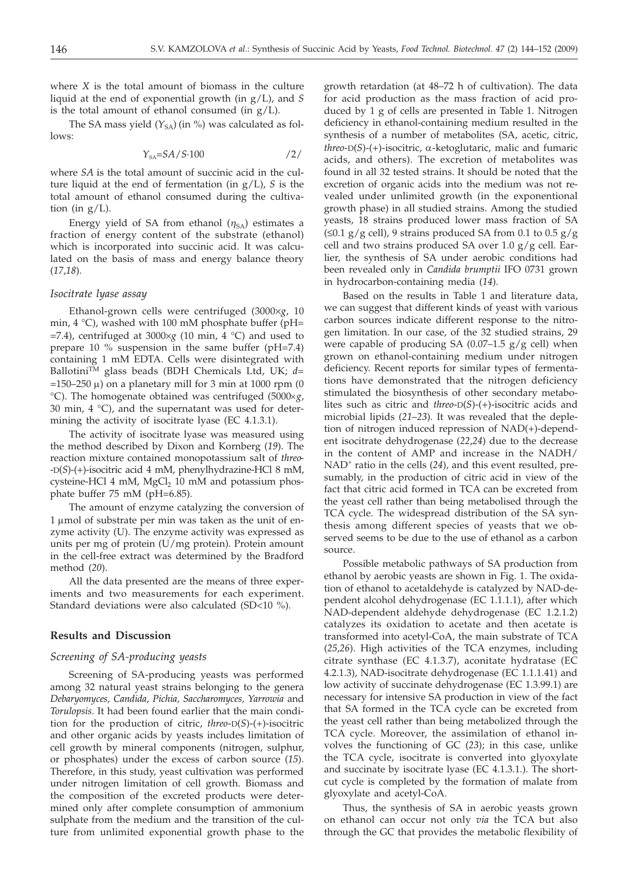where *X* is the total amount of biomass in the culture liquid at the end of exponential growth (in g/L), and *S* is the total amount of ethanol consumed (in  $g/L$ ).

The SA mass yield  $(Y_{SA})$  (in %) was calculated as follows:

$$
Y_{SA} = SA/S \cdot 100 \qquad \qquad /2/
$$

where *SA* is the total amount of succinic acid in the culture liquid at the end of fermentation (in g/L), *S* is the total amount of ethanol consumed during the cultivation (in  $g/L$ ).

Energy yield of SA from ethanol  $(\eta_{SA})$  estimates a fraction of energy content of the substrate (ethanol) which is incorporated into succinic acid. It was calculated on the basis of mass and energy balance theory (*17*,*18*).

#### *Isocitrate lyase assay*

Ethanol-grown cells were centrifuged (3000×g, 10 min, 4 °C), washed with 100 mM phosphate buffer (pH=  $=$  7.4), centrifuged at 3000 $\times$ g (10 min, 4 °C) and used to prepare 10 % suspension in the same buffer (pH=7.4) containing 1 mM EDTA. Cells were disintegrated with Ballotini<sup>TM</sup> glass beads (BDH Chemicals Ltd, UK;  $d=$  $=150-250 \mu$ ) on a planetary mill for 3 min at 1000 rpm (0 °C). The homogenate obtained was centrifuged (5000´*g*, 30 min,  $4 \degree C$ ), and the supernatant was used for determining the activity of isocitrate lyase (EC 4.1.3.1).

The activity of isocitrate lyase was measured using the method described by Dixon and Kornberg (*19*). The reaction mixture contained monopotassium salt of *threo*- -D(*S*)-(+)-isocitric acid 4 mM, phenylhydrazine-HCl 8 mM, cysteine-HCl  $4 \text{ mM}$ , MgCl<sub>2</sub> 10 mM and potassium phosphate buffer 75 mM (pH=6.85).

The amount of enzyme catalyzing the conversion of 1 umol of substrate per min was taken as the unit of enzyme activity (U). The enzyme activity was expressed as units per mg of protein (U/mg protein). Protein amount in the cell-free extract was determined by the Bradford method (*20*).

All the data presented are the means of three experiments and two measurements for each experiment. Standard deviations were also calculated (SD<10 %).

## **Results and Discussion**

#### *Screening of SA-producing yeasts*

Screening of SA-producing yeasts was performed among 32 natural yeast strains belonging to the genera *Debaryomyces, Candida*, *Pichia, Saccharomyces, Yarrowia* and *Torulopsis*. It had been found earlier that the main condition for the production of citric, *threo*-D(*S*)-(+)-isocitric and other organic acids by yeasts includes limitation of cell growth by mineral components (nitrogen, sulphur, or phosphates) under the excess of carbon source (*15*). Therefore, in this study, yeast cultivation was performed under nitrogen limitation of cell growth. Biomass and the composition of the excreted products were determined only after complete consumption of ammonium sulphate from the medium and the transition of the culture from unlimited exponential growth phase to the

growth retardation (at 48–72 h of cultivation). The data for acid production as the mass fraction of acid produced by 1 g of cells are presented in Table 1. Nitrogen deficiency in ethanol-containing medium resulted in the synthesis of a number of metabolites (SA, acetic, citric, *threo*-D(*S*)-(+)-isocitric, a-ketoglutaric, malic and fumaric acids, and others). The excretion of metabolites was found in all 32 tested strains. It should be noted that the excretion of organic acids into the medium was not revealed under unlimited growth (in the exponentional growth phase) in all studied strains. Among the studied yeasts, 18 strains produced lower mass fraction of SA ( $\leq 0.1$  g/g cell), 9 strains produced SA from 0.1 to 0.5 g/g cell and two strains produced SA over 1.0  $g/g$  cell. Earlier, the synthesis of SA under aerobic conditions had been revealed only in *Candida brumptii* IFO 0731 grown in hydrocarbon-containing media (*14*).

Based on the results in Table 1 and literature data, we can suggest that different kinds of yeast with various carbon sources indicate different response to the nitrogen limitation. In our case, of the 32 studied strains, 29 were capable of producing SA  $(0.07-1.5 \text{ g/g cell})$  when grown on ethanol-containing medium under nitrogen deficiency. Recent reports for similar types of fermentations have demonstrated that the nitrogen deficiency stimulated the biosynthesis of other secondary metabolites such as citric and *threo*-D(*S*)-(+)-isocitric acids and microbial lipids (*21*–*23*). It was revealed that the depletion of nitrogen induced repression of NAD(+)-dependent isocitrate dehydrogenase (*22*,*24*) due to the decrease in the content of AMP and increase in the NADH/ NAD<sup>+</sup> ratio in the cells (24), and this event resulted, presumably, in the production of citric acid in view of the fact that citric acid formed in TCA can be excreted from the yeast cell rather than being metabolised through the TCA cycle. The widespread distribution of the SA synthesis among different species of yeasts that we observed seems to be due to the use of ethanol as a carbon source.

Possible metabolic pathways of SA production from ethanol by aerobic yeasts are shown in Fig. 1. The oxidation of ethanol to acetaldehyde is catalyzed by NAD-dependent alcohol dehydrogenase (EC 1.1.1.1), after which NAD-dependent aldehyde dehydrogenase (EC 1.2.1.2) catalyzes its oxidation to acetate and then acetate is transformed into acetyl-CoA, the main substrate of TCA (*25*,*26*). High activities of the TCA enzymes, including citrate synthase (EC 4.1.3.7), aconitate hydratase (EC 4.2.1.3), NAD-isocitrate dehydrogenase (EC 1.1.1.41) and low activity of succinate dehydrogenase (EC 1.3.99.1) are necessary for intensive SA production in view of the fact that SA formed in the TCA cycle can be excreted from the yeast cell rather than being metabolized through the TCA cycle. Moreover, the assimilation of ethanol involves the functioning of GC (*23*); in this case, unlike the TCA cycle, isocitrate is converted into glyoxylate and succinate by isocitrate lyase (EC 4.1.3.1.). The shortcut cycle is completed by the formation of malate from glyoxylate and acetyl-CoA.

Thus, the synthesis of SA in aerobic yeasts grown on ethanol can occur not only *via* the TCA but also through the GC that provides the metabolic flexibility of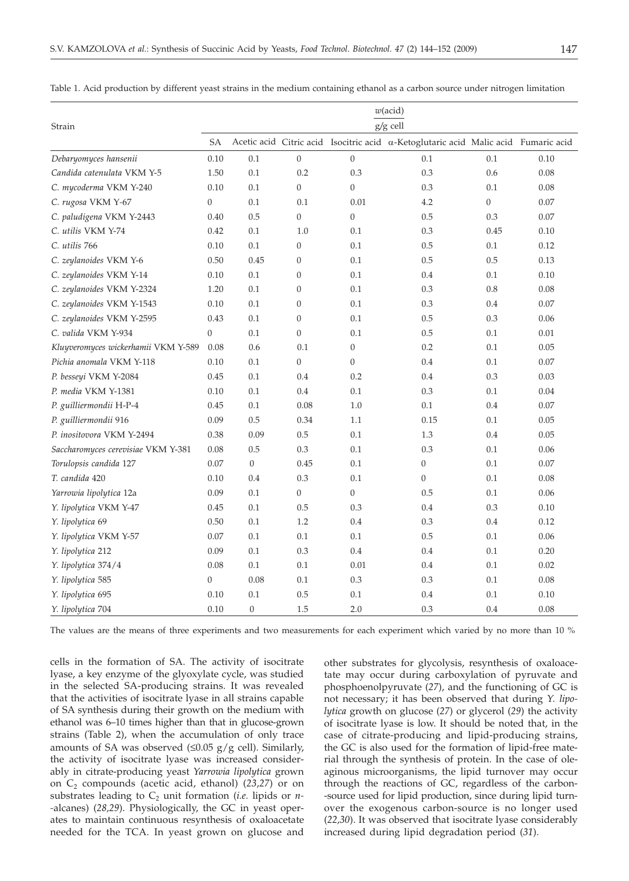|                                     | $w(\text{acid})$<br>g/g cell |                |                  |                |                                                                                    |                |      |
|-------------------------------------|------------------------------|----------------|------------------|----------------|------------------------------------------------------------------------------------|----------------|------|
| Strain                              | SА                           |                |                  |                | Acetic acid Citric acid Isocitric acid α-Ketoglutaric acid Malic acid Fumaric acid |                |      |
| Debaryomyces hansenii               | 0.10                         | 0.1            | $\mathbf{0}$     | $\overline{0}$ | 0.1                                                                                | 0.1            | 0.10 |
| Candida catenulata VKM Y-5          | 1.50                         | 0.1            | 0.2              | 0.3            | 0.3                                                                                | 0.6            | 0.08 |
| C. mycoderma VKM Y-240              | 0.10                         | 0.1            | $\mathbf{0}$     | 0              | 0.3                                                                                | 0.1            | 0.08 |
| C. rugosa VKM Y-67                  | $\boldsymbol{0}$             | 0.1            | 0.1              | 0.01           | 4.2                                                                                | $\overline{0}$ | 0.07 |
| C. paludigena VKM Y-2443            | 0.40                         | $0.5\,$        | $\overline{0}$   | $\overline{0}$ | 0.5                                                                                | 0.3            | 0.07 |
| C. utilis VKM Y-74                  | 0.42                         | 0.1            | 1.0              | 0.1            | 0.3                                                                                | 0.45           | 0.10 |
| C. utilis 766                       | 0.10                         | 0.1            | $\mathbf{0}$     | 0.1            | 0.5                                                                                | 0.1            | 0.12 |
| C. zeylanoides VKM Y-6              | 0.50                         | 0.45           | $\boldsymbol{0}$ | 0.1            | 0.5                                                                                | 0.5            | 0.13 |
| C. zeylanoides VKM Y-14             | 0.10                         | 0.1            | $\boldsymbol{0}$ | 0.1            | 0.4                                                                                | 0.1            | 0.10 |
| C. zeylanoides VKM Y-2324           | 1.20                         | 0.1            | $\boldsymbol{0}$ | 0.1            | 0.3                                                                                | 0.8            | 0.08 |
| C. zeylanoides VKM Y-1543           | 0.10                         | 0.1            | $\boldsymbol{0}$ | 0.1            | 0.3                                                                                | 0.4            | 0.07 |
| C. zeylanoides VKM Y-2595           | 0.43                         | 0.1            | $\mathbf{0}$     | 0.1            | 0.5                                                                                | 0.3            | 0.06 |
| C. valida VKM Y-934                 | 0                            | 0.1            | $\boldsymbol{0}$ | 0.1            | 0.5                                                                                | 0.1            | 0.01 |
| Kluyveromyces wickerhamii VKM Y-589 | 0.08                         | 0.6            | 0.1              | $\overline{0}$ | 0.2                                                                                | 0.1            | 0.05 |
| Pichia anomala VKM Y-118            | 0.10                         | 0.1            | $\overline{0}$   | 0              | 0.4                                                                                | 0.1            | 0.07 |
| P. besseyi VKM Y-2084               | 0.45                         | 0.1            | 0.4              | 0.2            | 0.4                                                                                | 0.3            | 0.03 |
| P. media VKM Y-1381                 | 0.10                         | 0.1            | $0.4\,$          | 0.1            | 0.3                                                                                | 0.1            | 0.04 |
| P. guilliermondii H-P-4             | 0.45                         | 0.1            | 0.08             | 1.0            | 0.1                                                                                | 0.4            | 0.07 |
| P. guilliermondii 916               | 0.09                         | 0.5            | 0.34             | 1.1            | 0.15                                                                               | 0.1            | 0.05 |
| P. inositovora VKM Y-2494           | 0.38                         | 0.09           | 0.5              | 0.1            | 1.3                                                                                | 0.4            | 0.05 |
| Saccharomyces cerevisiae VKM Y-381  | 0.08                         | 0.5            | 0.3              | 0.1            | 0.3                                                                                | 0.1            | 0.06 |
| Torulopsis candida 127              | 0.07                         | $\overline{0}$ | 0.45             | 0.1            | $\overline{0}$                                                                     | 0.1            | 0.07 |
| T. candida 420                      | 0.10                         | 0.4            | 0.3              | 0.1            | $\overline{0}$                                                                     | 0.1            | 0.08 |
| Yarrowia lipolytica 12a             | 0.09                         | 0.1            | $\boldsymbol{0}$ | $\overline{0}$ | 0.5                                                                                | 0.1            | 0.06 |
| Y. lipolytica VKM Y-47              | 0.45                         | 0.1            | 0.5              | 0.3            | 0.4                                                                                | 0.3            | 0.10 |
| Y. lipolytica 69                    | 0.50                         | 0.1            | 1.2              | 0.4            | 0.3                                                                                | 0.4            | 0.12 |
| Y. lipolytica VKM Y-57              | 0.07                         | 0.1            | 0.1              | 0.1            | 0.5                                                                                | 0.1            | 0.06 |
| Y. lipolytica 212                   | 0.09                         | 0.1            | $0.3\,$          | 0.4            | 0.4                                                                                | 0.1            | 0.20 |
| Y. lipolytica 374/4                 | 0.08                         | 0.1            | 0.1              | 0.01           | 0.4                                                                                | 0.1            | 0.02 |
| Y. lipolytica 585                   | 0                            | 0.08           | 0.1              | 0.3            | 0.3                                                                                | 0.1            | 0.08 |
| Y. lipolytica 695                   | 0.10                         | 0.1            | 0.5              | 0.1            | 0.4                                                                                | 0.1            | 0.10 |

Table 1. Acid production by different yeast strains in the medium containing ethanol as a carbon source under nitrogen limitation

The values are the means of three experiments and two measurements for each experiment which varied by no more than 10 %

*Y. lipolytica* 704 0.10 0 1.5 2.0 0.3 0.4 0.08

cells in the formation of SA. The activity of isocitrate lyase, a key enzyme of the glyoxylate cycle, was studied in the selected SA-producing strains. It was revealed that the activities of isocitrate lyase in all strains capable of SA synthesis during their growth on the medium with ethanol was 6–10 times higher than that in glucose-grown strains (Table 2), when the accumulation of only trace amounts of SA was observed  $(\leq 0.05 \text{ g/g} \text{ cell})$ . Similarly, the activity of isocitrate lyase was increased considerably in citrate-producing yeast *Yarrowia lipolytica* grown on C2 compounds (acetic acid, ethanol) (*23*,*27*) or on substrates leading to  $C_2$  unit formation *(i.e.* lipids or *n*-*-*alcanes) (*28,29*). Physiologically, the GC in yeast operates to maintain continuous resynthesis of oxaloacetate needed for the TCA. In yeast grown on glucose and

other substrates for glycolysis, resynthesis of oxaloacetate may occur during carboxylation of pyruvate and phosphoenolpyruvate (*27*), and the functioning of GC is not necessary; it has been observed that during *Y. lipolytica* growth on glucose (*27*) or glycerol (*29*) the activity of isocitrate lyase is low. It should be noted that, in the case of citrate-producing and lipid-producing strains, the GC is also used for the formation of lipid-free material through the synthesis of protein. In the case of oleaginous microorganisms, the lipid turnover may occur through the reactions of GC, regardless of the carbon- -source used for lipid production, since during lipid turnover the exogenous carbon-source is no longer used (*22,30*). It was observed that isocitrate lyase considerably increased during lipid degradation period (*31*).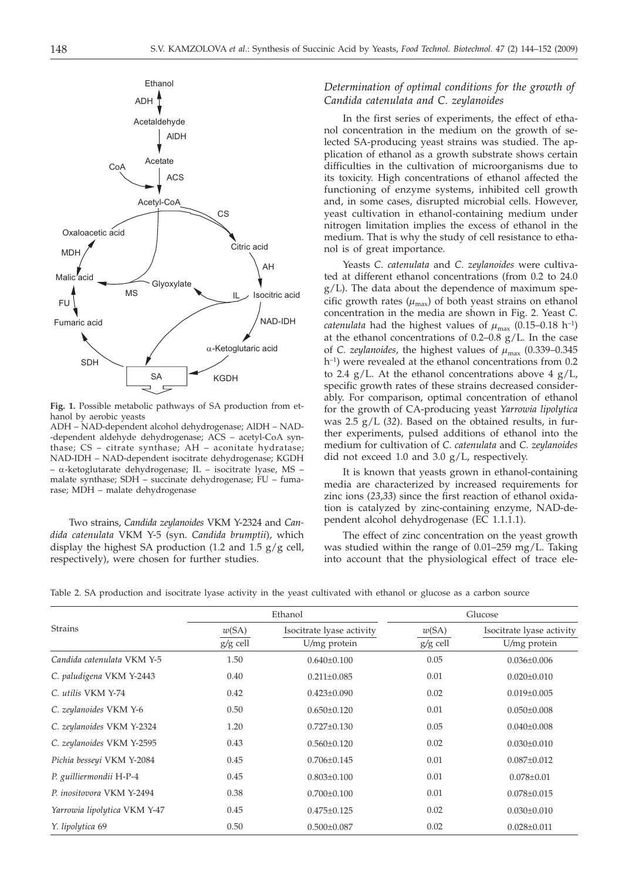

**Fig. 1.** Possible metabolic pathways of SA production from ethanol by aerobic yeasts

ADH – NAD-dependent alcohol dehydrogenase; AlDH – NAD- -dependent aldehyde dehydrogenase; ACS – acetyl-CoA synthase; CS – citrate synthase; AH – aconitate hydratase; NAD-IDH – NAD-dependent isocitrate dehydrogenase; KGDH  $- \alpha$ -ketoglutarate dehydrogenase; IL – isocitrate lyase, MS – malate synthase; SDH – succinate dehydrogenase; FU – fumarase; MDH – malate dehydrogenase

Two strains, *Candida zeylanoides* VKM Y-2324 and *Candida catenulata* VKM Y-5 (syn. *Candida brumptii*), which display the highest SA production (1.2 and 1.5 g/g cell, respectively), were chosen for further studies.

## *Determination of optimal conditions for the growth of Candida catenulata and C. zeylanoides*

In the first series of experiments, the effect of ethanol concentration in the medium on the growth of selected SA-producing yeast strains was studied. The application of ethanol as a growth substrate shows certain difficulties in the cultivation of microorganisms due to its toxicity. High concentrations of ethanol affected the functioning of enzyme systems, inhibited cell growth and, in some cases, disrupted microbial cells. However, yeast cultivation in ethanol-containing medium under nitrogen limitation implies the excess of ethanol in the medium. That is why the study of cell resistance to ethanol is of great importance.

Yeasts *C. catenulata* and *C*. *zeylanoides* were cultivated at different ethanol concentrations (from 0.2 to 24.0 g/L). The data about the dependence of maximum specific growth rates  $(\mu_{\text{max}})$  of both yeast strains on ethanol concentration in the media are shown in Fig. 2. Yeast *C. catenulata* had the highest values of  $\mu_{\text{max}}$  (0.15–0.18 h<sup>-1</sup>) at the ethanol concentrations of  $0.2-0.8$  g/L. In the case of *C. zeylanoides*, the highest values of  $\mu_{\text{max}}$  (0.339–0.345) h<sup>-1</sup>) were revealed at the ethanol concentrations from 0.2 to 2.4  $g/L$ . At the ethanol concentrations above 4  $g/L$ , specific growth rates of these strains decreased considerably. For comparison, optimal concentration of ethanol for the growth of CA-producing yeast *Yarrowia lipolytica* was 2.5 g/L (*32*). Based on the obtained results, in further experiments, pulsed additions of ethanol into the medium for cultivation of *C. catenulata* and *C. zeylanoides* did not exceed 1.0 and 3.0  $g/L$ , respectively.

It is known that yeasts grown in ethanol-containing media are characterized by increased requirements for zinc ions (*23*,*33*) since the first reaction of ethanol oxidation is catalyzed by zinc-containing enzyme, NAD-dependent alcohol dehydrogenase (EC 1.1.1.1).

The effect of zinc concentration on the yeast growth was studied within the range of 0.01–259 mg/L. Taking into account that the physiological effect of trace ele-

|                              |          | Ethanol                   | Glucose    |                           |  |
|------------------------------|----------|---------------------------|------------|---------------------------|--|
| <b>Strains</b>               | w(SA)    | Isocitrate lyase activity | w(SA)      | Isocitrate lyase activity |  |
|                              | g/g cell | U/mg protein              | $g/g$ cell | U/mg protein              |  |
| Candida catenulata VKM Y-5   | 1.50     | $0.640 \pm 0.100$         | 0.05       | $0.036 \pm 0.006$         |  |
| C. paludigena VKM Y-2443     | 0.40     | $0.211 \pm 0.085$         | 0.01       | $0.020 \pm 0.010$         |  |
| C. utilis VKM Y-74           | 0.42     | $0.423 \pm 0.090$         | 0.02       | $0.019 \pm 0.005$         |  |
| C. zeylanoides VKM Y-6       | 0.50     | $0.650 \pm 0.120$         | 0.01       | $0.050 \pm 0.008$         |  |
| C. zeylanoides VKM Y-2324    | 1.20     | $0.727 \pm 0.130$         | 0.05       | $0.040 \pm 0.008$         |  |
| C. zeylanoides VKM Y-2595    | 0.43     | $0.560 \pm 0.120$         | 0.02       | $0.030 \pm 0.010$         |  |
| Pichia besseyi VKM Y-2084    | 0.45     | $0.706 \pm 0.145$         | 0.01       | $0.087 \pm 0.012$         |  |
| P. guilliermondii H-P-4      | 0.45     | $0.803 \pm 0.100$         | 0.01       | $0.078 \pm 0.01$          |  |
| P. inositovora VKM Y-2494    | 0.38     | $0.700 \pm 0.100$         | 0.01       | $0.078 \pm 0.015$         |  |
| Yarrowia lipolytica VKM Y-47 | 0.45     | $0.475 \pm 0.125$         | 0.02       | $0.030 \pm 0.010$         |  |
| Y. lipolytica 69             | 0.50     | $0.500 \pm 0.087$         | 0.02       | $0.028 \pm 0.011$         |  |

Table 2. SA production and isocitrate lyase activity in the yeast cultivated with ethanol or glucose as a carbon source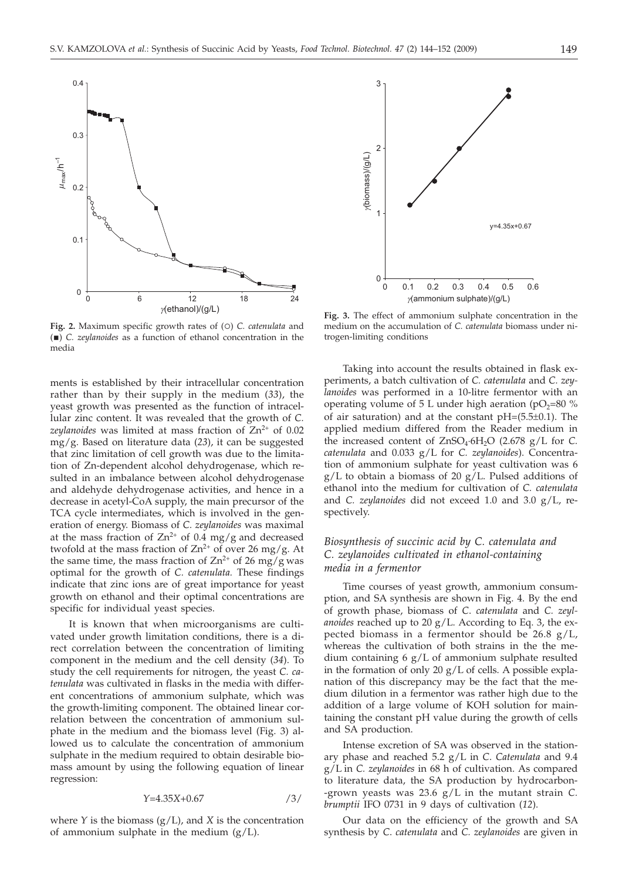

Fig. 2. Maximum specific growth rates of (O) *C. catenulata* and () *C. zeylanoides* as a function of ethanol concentration in the media

ments is established by their intracellular concentration rather than by their supply in the medium (*33*), the yeast growth was presented as the function of intracellular zinc content. It was revealed that the growth of *C.* zeylanoides was limited at mass fraction of Zn<sup>2+</sup> of 0.02 mg/g. Based on literature data (*23*), it can be suggested that zinc limitation of cell growth was due to the limitation of Zn-dependent alcohol dehydrogenase, which resulted in an imbalance between alcohol dehydrogenase and aldehyde dehydrogenase activities, and hence in a decrease in acetyl-CoA supply, the main precursor of the TCA cycle intermediates, which is involved in the generation of energy. Biomass of *C. zeylanoides* was maximal at the mass fraction of  $Zn^{2+}$  of 0.4 mg/g and decreased twofold at the mass fraction of  $Zn^{2+}$  of over 26 mg/g. At the same time, the mass fraction of  $\text{Zn}^{2+}$  of 26 mg/g was optimal for the growth of *C. catenulata.* These findings indicate that zinc ions are of great importance for yeast growth on ethanol and their optimal concentrations are specific for individual yeast species.

It is known that when microorganisms are cultivated under growth limitation conditions, there is a direct correlation between the concentration of limiting component in the medium and the cell density (*34*). To study the cell requirements for nitrogen, the yeast *C. catenulata* was cultivated in flasks in the media with different concentrations of ammonium sulphate, which was the growth-limiting component. The obtained linear correlation between the concentration of ammonium sulphate in the medium and the biomass level (Fig. 3) allowed us to calculate the concentration of ammonium sulphate in the medium required to obtain desirable biomass amount by using the following equation of linear regression:

$$
Y=4.35X+0.67
$$

where  $Y$  is the biomass  $(g/L)$ , and  $X$  is the concentration of ammonium sulphate in the medium  $(g/L)$ .



**Fig. 3.** The effect of ammonium sulphate concentration in the medium on the accumulation of *C. catenulata* biomass under nitrogen-limiting conditions

Taking into account the results obtained in flask experiments, a batch cultivation of *C. catenulata* and *C. zeylanoides* was performed in a 10-litre fermentor with an operating volume of 5 L under high aeration ( $pO<sub>2</sub>=80$  % of air saturation) and at the constant pH=(5.5±0.1). The applied medium differed from the Reader medium in the increased content of  $ZnSO_4.6H_2O$  (2.678 g/L for C. *catenulata* and 0.033 g/L for *C. zeylanoides*). Concentration of ammonium sulphate for yeast cultivation was 6  $g/L$  to obtain a biomass of 20  $g/L$ . Pulsed additions of ethanol into the medium for cultivation of *C. catenulata* and *C. zeylanoides* did not exceed 1.0 and 3.0 g/L, respectively.

## *Biosynthesis of succinic acid by C. catenulata and C. zeylanoides cultivated in ethanol-containing media in a fermentor*

Time courses of yeast growth, ammonium consumption, and SA synthesis are shown in Fig. 4. By the end of growth phase, biomass of *C*. *catenulata* and *C. zeylanoides* reached up to 20 g/L. According to Eq. 3, the expected biomass in a fermentor should be  $26.8 \text{ g/L}$ , whereas the cultivation of both strains in the the medium containing 6 g/L of ammonium sulphate resulted in the formation of only 20 g/L of cells. A possible explanation of this discrepancy may be the fact that the medium dilution in a fermentor was rather high due to the addition of a large volume of KOH solution for maintaining the constant pH value during the growth of cells and SA production.

Intense excretion of SA was observed in the stationary phase and reached 5.2 g/L in *C*. *Catenulata* and 9.4 g/L in *C. zeylanoides* in 68 h of cultivation. As compared to literature data, the SA production by hydrocarbon- -grown yeasts was 23.6 g/L in the mutant strain *C. brumptii* IFO 0731 in 9 days of cultivation (*12*).

Our data on the efficiency of the growth and SA synthesis by *C*. *catenulata* and *C. zeylanoides* are given in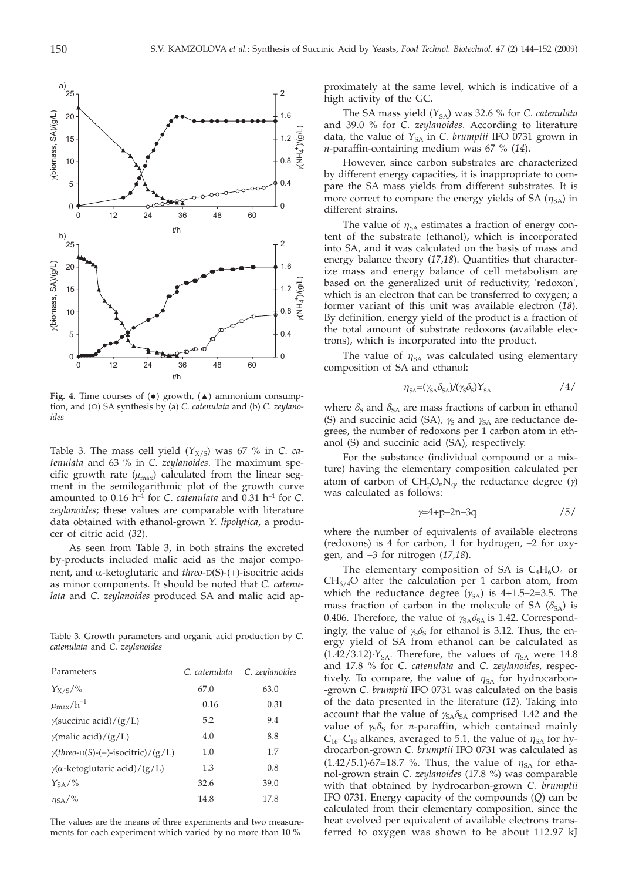

**Fig. 4.** Time courses of  $(\bullet)$  growth,  $(\bullet)$  ammonium consumption, and (O) SA synthesis by (a) *C. catenulata* and (b) *C. zeylanoides*

Table 3. The mass cell yield  $(Y_{X/S})$  was 67 % in *C. catenulata* and 63 % in *C. zeylanoides*. The maximum specific growth rate  $(\mu_{\text{max}})$  calculated from the linear segment in the semilogarithmic plot of the growth curve amounted to  $0.16$  h<sup>-1</sup> for *C*. *catenulata* and  $0.31$  h<sup>-1</sup> for *C*. *zeylanoides*; these values are comparable with literature data obtained with ethanol-grown *Y. lipolytica*, a producer of citric acid (*32*).

As seen from Table 3, in both strains the excreted by-products included malic acid as the major component, and <sup>a</sup>-ketoglutaric and *threo*-D(S)-(+)-isocitric acids as minor components. It should be noted that *C. catenulata* and *C. zeylanoides* produced SA and malic acid ap-

Table 3. Growth parameters and organic acid production by *C. catenulata* and *C. zeylanoides*

| Parameters                                | C. catenulata | C. zeylanoides |
|-------------------------------------------|---------------|----------------|
| $Y_{X/S}/\%$                              | 67.0          | 63.0           |
| $\mu_{\rm max}/h^{-1}$                    | 0.16          | 0.31           |
| $\gamma$ (succinic acid)/(g/L)            | 5.2           | 9.4            |
| $\gamma$ (malic acid)/(g/L)               | 4.0           | 8.8            |
| $\gamma$ (threo-D(S)-(+)-isocitric)/(g/L) | 1.0           | 1.7            |
| $\gamma(\alpha$ -ketoglutaric acid)/(g/L) | 1.3           | 0.8            |
| $Y_{SA}/\%$                               | 32.6          | 39.0           |
| $\eta_{\mathrm{SA}}$ /%                   | 14.8          | 17.8           |

The values are the means of three experiments and two measurements for each experiment which varied by no more than 10 %

proximately at the same level, which is indicative of a high activity of the GC.

The SA mass yield  $(Y_{SA})$  was 32.6 % for *C. catenulata* and 39.0 % for *C. zeylanoides*. According to literature data, the value of  $Y_{SA}$  in *C. brumptii* IFO 0731 grown in *n*-paraffin-containing medium was 67 % (*14*).

However, since carbon substrates are characterized by different energy capacities, it is inappropriate to compare the SA mass yields from different substrates. It is more correct to compare the energy yields of SA  $(\eta_{SA})$  in different strains.

The value of  $\eta_{SA}$  estimates a fraction of energy content of the substrate (ethanol), which is incorporated into SA, and it was calculated on the basis of mass and energy balance theory (*17,18*). Quantities that characterize mass and energy balance of cell metabolism are based on the generalized unit of reductivity, 'redoxon', which is an electron that can be transferred to oxygen; a former variant of this unit was available electron (*18*). By definition, energy yield of the product is a fraction of the total amount of substrate redoxons (available electrons), which is incorporated into the product.

The value of  $\eta_{SA}$  was calculated using elementary composition of SA and ethanol:

$$
\eta_{SA} = (\gamma_{SA} \delta_{SA})/(\gamma_S \delta_S) Y_{SA} \tag{4/}
$$

where  $\delta_S$  and  $\delta_{SA}$  are mass fractions of carbon in ethanol (S) and succinic acid (SA),  $\gamma_S$  and  $\gamma_{SA}$  are reductance degrees, the number of redoxons per 1 carbon atom in ethanol (S) and succinic acid (SA), respectively.

For the substance (individual compound or a mixture) having the elementary composition calculated per atom of carbon of  $CH_pO_nN_q$ , the reductance degree ( $\gamma$ ) was calculated as follows:

$$
\gamma = 4 + p - 2n - 3q \tag{5/}
$$

where the number of equivalents of available electrons (redoxons) is 4 for carbon, 1 for hydrogen, –2 for oxygen, and –3 for nitrogen (*17,18*).

The elementary composition of SA is  $C_4H_6O_4$  or  $CH_{6/4}O$  after the calculation per 1 carbon atom, from which the reductance degree  $(\gamma_{SA})$  is 4+1.5–2=3.5. The mass fraction of carbon in the molecule of SA  $(\delta_{SA})$  is 0.406. Therefore, the value of  $\gamma_{SA}\delta_{SA}$  is 1.42. Correspondingly, the value of  $\chi_S \delta_S$  for ethanol is 3.12. Thus, the energy yield of SA from ethanol can be calculated as  $(1.42/3.12)$ <sup>2</sup><sub>SA</sub>. Therefore, the values of  $\eta_{SA}$  were 14.8 and 17.8 % for *C*. *catenulata* and *C. zeylanoides,* respectively. To compare, the value of  $\eta_{SA}$  for hydrocarbon--grown *C. brumptii* IFO 0731 was calculated on the basis of the data presented in the literature (*12*). Taking into account that the value of  $\gamma_{SA}\delta_{SA}$  comprised 1.42 and the value of  $\gamma_S \delta_S$  for *n*-paraffin, which contained mainly  $C_{16}$ - $C_{18}$  alkanes, averaged to 5.1, the value of  $\eta_{SA}$  for hydrocarbon-grown *C. brumptii* IFO 0731 was calculated as  $(1.42/5.1)\cdot 67=18.7$  %. Thus, the value of  $\eta_{SA}$  for ethanol-grown strain *C. zeylanoides* (17.8 %) was comparable with that obtained by hydrocarbon-grown *C. brumptii* IFO 0731. Energy capacity of the compounds (*Q*) can be calculated from their elementary composition, since the heat evolved per equivalent of available electrons transferred to oxygen was shown to be about 112.97 kJ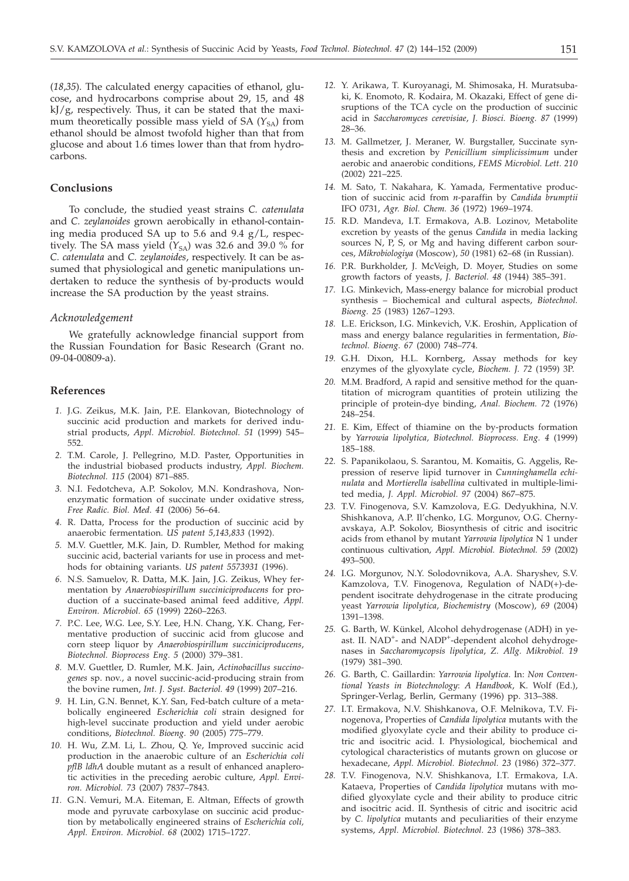(*18*,*35*). The calculated energy capacities of ethanol, glucose, and hydrocarbons comprise about 29, 15, and 48 kJ/g, respectively. Thus, it can be stated that the maximum theoretically possible mass yield of SA  $(Y_{SA})$  from ethanol should be almost twofold higher than that from glucose and about 1.6 times lower than that from hydrocarbons.

## **Conclusions**

To conclude, the studied yeast strains *C. catenulata* and *C. zeylanoides* grown aerobically in ethanol-containing media produced SA up to 5.6 and 9.4 g/L, respectively. The SA mass yield  $(Y_{SA})$  was 32.6 and 39.0 % for *C. catenulata* and *C. zeylanoides*, respectively. It can be assumed that physiological and genetic manipulations undertaken to reduce the synthesis of by-products would increase the SA production by the yeast strains.

#### *Acknowledgement*

We gratefully acknowledge financial support from the Russian Foundation for Basic Research (Grant no. 09-04-00809-a).

#### **References**

- *1.* J.G. Zeikus, M.K. Jain, P.E. Elankovan, Biotechnology of succinic acid production and markets for derived industrial products, *Appl. Microbiol. Biotechnol. 51* (1999) 545– 552.
- *2.* T.M. Carole, J. Pellegrino, M.D. Paster, Opportunities in the industrial biobased products industry, *Appl. Biochem. Biotechnol. 115* (2004) 871–885.
- *3.* N.I. Fedotcheva, A.P. Sokolov, M.N. Kondrashova, Nonenzymatic formation of succinate under oxidative stress, *Free Radic. Biol. Med. 41* (2006) 56–64.
- *4.* R. Datta, Process for the production of succinic acid by anaerobic fermentation. *US patent 5,143,833* (1992).
- *5.* M.V. Guettler, M.K. Jain, D. Rumbler, Method for making succinic acid, bacterial variants for use in process and methods for obtaining variants. *US patent 5573931* (1996).
- *6.* N.S. Samuelov, R. Datta, M.K. Jain, J.G. Zeikus, Whey fermentation by *Anaerobiospirillum succiniciproducens* for production of a succinate-based animal feed additive, *Appl. Environ. Microbiol. 65* (1999) 2260–2263.
- *7.* P.C. Lee, W.G. Lee, S.Y. Lee, H.N. Chang, Y.K. Chang, Fermentative production of succinic acid from glucose and corn steep liquor by *Anaerobiospirillum succiniciproducens*, *Biotechnol. Bioprocess Eng. 5* (2000) 379–381.
- *8.* M.V. Guettler, D. Rumler, M.K. Jain, *Actinobacillus succinogenes* sp. nov., a novel succinic-acid-producing strain from the bovine rumen, *Int. J. Syst. Bacteriol. 49* (1999) 207–216.
- *9.* H. Lin, G.N. Bennet, K.Y. San, Fed-batch culture of a metabolically engineered *Escherichia coli* strain designed for high-level succinate production and yield under aerobic conditions, *Biotechnol. Bioeng. 90* (2005) 775–779.
- *10.* H. Wu, Z.M. Li, L. Zhou, Q. Ye, Improved succinic acid production in the anaerobic culture of an *Escherichia coli pflB ldhA* double mutant as a result of enhanced anaplerotic activities in the preceding aerobic culture, *Appl. Environ. Microbiol. 73* (2007) 7837–7843.
- *11.* G.N. Vemuri, M.A. Eiteman, E. Altman, Effects of growth mode and pyruvate carboxylase on succinic acid production by metabolically engineered strains of *Escherichia coli, Appl. Environ. Microbiol. 68* (2002) 1715–1727.
- *12.* Y. Arikawa, T. Kuroyanagi, M. Shimosaka, H. Muratsubaki, K. Enomoto, R. Kodaira, M. Okazaki, Effect of gene disruptions of the TCA cycle on the production of succinic acid in *Saccharomyces cerevisiae*, *J. Biosci. Bioeng. 87* (1999) 28–36.
- *13.* M. Gallmetzer, J. Meraner, W. Burgstaller, Succinate synthesis and excretion by *Penicillium simplicissimum* under aerobic and anaerobic conditions, *FEMS Microbiol. Lett. 210* (2002) 221–225.
- *14.* M. Sato, T. Nakahara, K. Yamada, Fermentative production of succinic acid from *n*-paraffin by *Candida brumptii* IFO 0731, *Agr. Biol. Chem. 36* (1972) 1969–1974.
- *15.* R.D. Mandeva, I.T. Ermakova, A.B. Lozinov, Metabolite excretion by yeasts of the genus *Candida* in media lacking sources N, P, S, or Mg and having different carbon sources, *Mikrobiologiya* (Moscow), *50* (1981) 62–68 (in Russian).
- *16.* P.R. Burkholder, J. McVeigh, D. Moyer, Studies on some growth factors of yeasts, *J. Bacteriol. 48* (1944) 385–391.
- *17.* I.G. Minkevich, Mass-energy balance for microbial product synthesis – Biochemical and cultural aspects, *Biotechnol. Bioeng. 25* (1983) 1267–1293.
- *18.* L.E. Erickson, I.G. Minkevich, V.K. Eroshin, Application of mass and energy balance regularities in fermentation, *Biotechnol. Bioeng. 67* (2000) 748–774.
- *19.* G.H. Dixon, H.L. Kornberg, Assay methods for key enzymes of the glyoxylate cycle, *Biochem. J. 72* (1959) 3P.
- *20.* M.M. Bradford, A rapid and sensitive method for the quantitation of microgram quantities of protein utilizing the principle of protein-dye binding, *Anal. Biochem. 72* (1976) 248–254.
- *21.* E. Kim, Effect of thiamine on the by-products formation by *Yarrowia lipolytica, Biotechnol. Bioprocess. Eng. 4* (1999) 185–188.
- *22.* S. Papanikolaou, S. Sarantou, M. Komaitis, G. Aggelis, Repression of reserve lipid turnover in *Cunninghamella echinulata* and *Mortierella isabellina* cultivated in multiple-limited media, *J. Appl. Microbiol. 97* (2004) 867–875.
- *23.* T.V. Finogenova, S.V. Kamzolova, E.G. Dedyukhina, N.V. Shishkanova, A.P. Il'chenko, I.G. Morgunov, O.G. Chernyavskaya, A.P. Sokolov, Biosynthesis of citric and isocitric acids from ethanol by mutant *Yarrowia lipolytica* N 1 under continuous cultivation, *Appl. Microbiol. Biotechnol. 59* (2002) 493–500.
- *24.* I.G. Morgunov, N.Y. Solodovnikova, A.A. Sharyshev, S.V. Kamzolova, T.V. Finogenova, Regulation of NAD(+)-dependent isocitrate dehydrogenase in the citrate producing yeast *Yarrowia lipolytica*, *Biochemistry* (Moscow), *69* (2004) 1391–1398.
- *25.* G. Barth, W. Künkel, Alcohol dehydrogenase (ADH) in yeast. II. NAD<sup>+</sup>- and NADP<sup>+</sup>-dependent alcohol dehydrogenases in *Saccharomycopsis lipolytica*, *Z. Allg. Mikrobiol. 19* (1979) 381–390.
- *26.* G. Barth, C. Gaillardin: *Yarrowia lipolytica*. In: *Non Conventional Yeasts in Biotechnology*: *A Handbook*, K. Wolf (Ed.), Springer-Verlag, Berlin, Germany (1996) pp. 313–388.
- *27.* I.T. Ermakova, N.V. Shishkanova, O.F. Melnikova, T.V. Finogenova, Properties of *Candida lipolytica* mutants with the modified glyoxylate cycle and their ability to produce citric and isocitric acid. I. Physiological, biochemical and cytological characteristics of mutants grown on glucose or hexadecane, *Appl. Microbiol. Biotechnol. 23* (1986) 372–377.
- *28.* T.V. Finogenova, N.V. Shishkanova, I.T. Ermakova, I.A. Kataeva, Properties of *Candida lipolytica* mutans with modified glyoxylate cycle and their ability to produce citric and isocitric acid. II. Synthesis of citric and isocitric acid by *C. lipolytica* mutants and peculiarities of their enzyme systems, *Appl. Microbiol. Biotechnol. 23* (1986) 378–383.